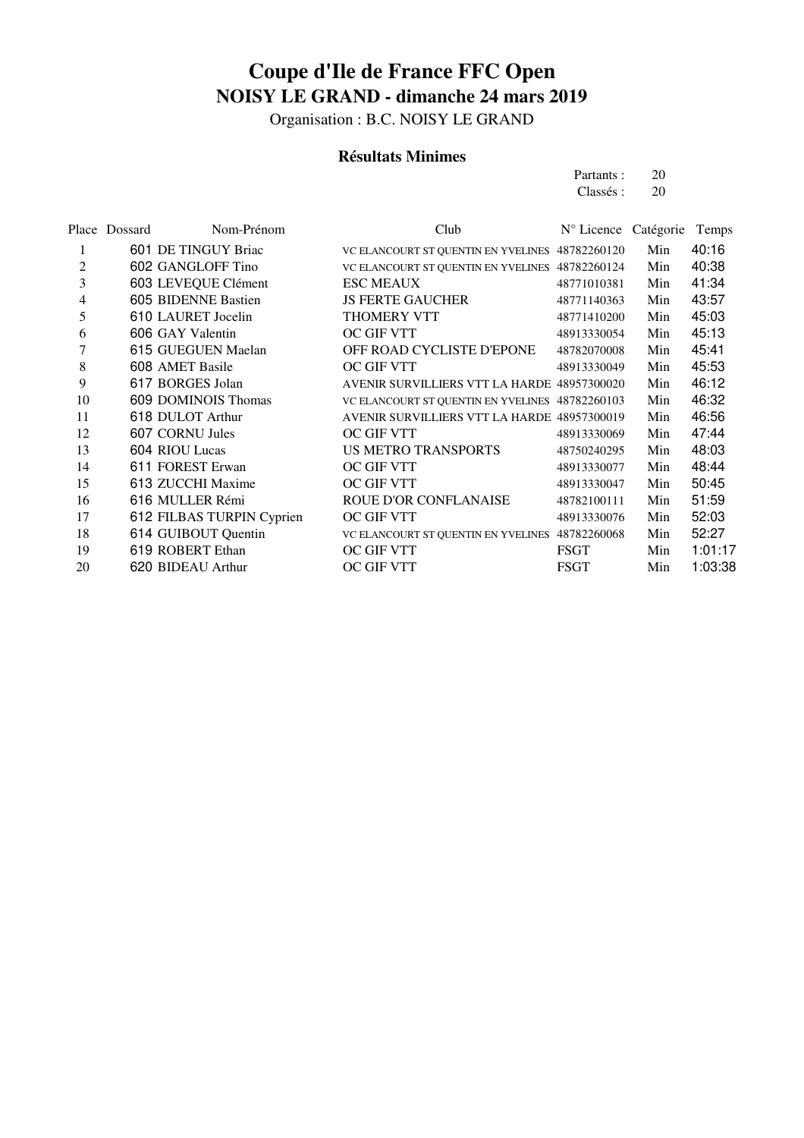Organisation : B.C. NOISY LE GRAND

#### **Résultats Minimes**

Partants : 20 Classés : 20

Place Dossard Nom-Prénom Club N° Licence Catégorie Temps 1 601 DE TINGUY Briac VC ELANCOURT ST OUENTIN EN YVELINES 48782260120 Min 40:16 2 602 GANGLOFF Tino VC ELANCOURT ST OUENTIN EN YVELINES 48782260124 Min 40:38 603 LEVEQUE Clément ESC MEAUX 48771010381 Min 41:34 4 605 BIDENNE Bastien JS FERTE GAUCHER 48771140363 Min 43:57 610 LAURET Jocelin THOMERY VTT 48771410200 Min 45:03 606 GAY Valentin OC GIF VTT 48913330054 Min 45:13 615 GUEGUEN Maelan OFF ROAD CYCLISTE D'EPONE 48782070008 Min 45:41 608 AMET Basile OC GIF VTT 48913330049 Min 45:53 617 BORGES Jolan AVENIR SURVILLIERS VTT LA HARDE 48957300020 Min 46:12 609 DOMINOIS Thomas VC ELANCOURT ST QUENTIN EN YVELINES 48782260103 Min 46:32 618 DULOT Arthur AVENIR SURVILLIERS VTT LA HARDE 48957300019 Min 46:56 12 607 CORNU Jules 0C GIF VTT 48913330069 Min 47:44 604 RIOU Lucas US METRO TRANSPORTS 48750240295 Min 48:03 611 FOREST Erwan OC GIF VTT 48913330077 Min 48:44 613 ZUCCHI Maxime OC GIF VTT 48913330047 Min 50:45 616 MULLER Rémi ROUE D'OR CONFLANAISE 48782100111 Min 51:59 612 FILBAS TURPIN Cyprien OC GIF VTT 48913330076 Min 52:03 18 614 GUIBOUT Quentin VC ELANCOURT ST QUENTIN EN YVELINES 48782260068 Min 52:27 19 619 ROBERT Ethan **OC GIF VTT** FSGT Min 1:01:17 20 620 BIDEAU Arthur **DE GUE VIT FSGT** Min 1:03:38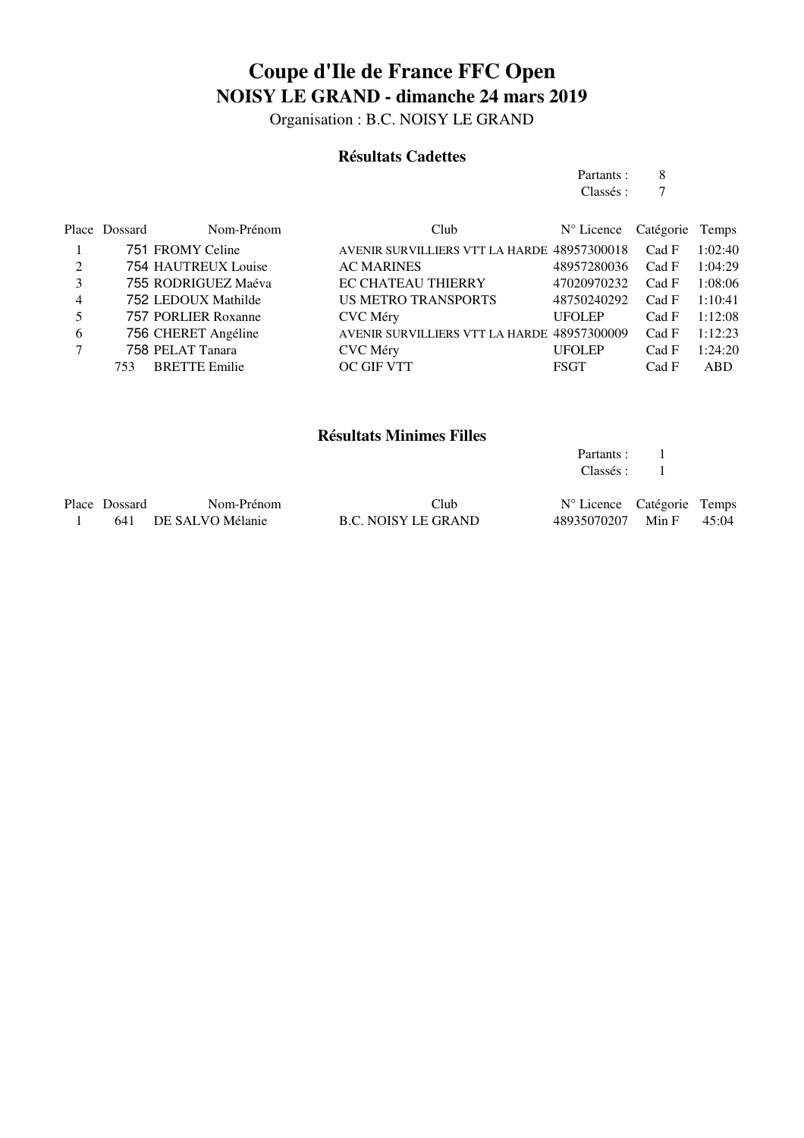Organisation : B.C. NOISY LE GRAND

#### **Résultats Cadettes**

Partants : 8<br>Classés : 7 Classés :

Partants : 1

|   | Place Dossard | Nom-Prénom           | Club.                                       | N° Licence Catégorie Temps |       |         |
|---|---------------|----------------------|---------------------------------------------|----------------------------|-------|---------|
|   |               | 751 FROMY Celine     | AVENIR SURVILLIERS VTT LA HARDE 48957300018 |                            | Cad F | 1:02:40 |
| 2 |               | 754 HAUTREUX Louise  | <b>AC MARINES</b>                           | 48957280036                | Cad F | 1:04:29 |
| 3 |               | 755 RODRIGUEZ Maéva  | <b>EC CHATEAU THIERRY</b>                   | 47020970232                | Cad F | 1:08:06 |
| 4 |               | 752 LEDOUX Mathilde  | <b>US METRO TRANSPORTS</b>                  | 48750240292                | Cad F | 1:10:41 |
| 5 |               | 757 PORLIER Roxanne  | CVC Méry                                    | <b>UFOLEP</b>              | Cad F | 1:12:08 |
| 6 |               | 756 CHERET Angéline  | AVENIR SURVILLIERS VTT LA HARDE 48957300009 |                            | Cad F | 1:12:23 |
|   |               | 758 PELAT Tanara     | <b>CVC</b> Méry                             | <b>UFOLEP</b>              | Cad F | 1:24:20 |
|   | 753           | <b>BRETTE Emilie</b> | OC GIF VTT                                  | <b>FSGT</b>                | Cad F | ABD.    |

#### **Résultats Minimes Filles**

|               |                      |                     | Classés :                           |       |
|---------------|----------------------|---------------------|-------------------------------------|-------|
| Place Dossard | Nom-Prénom           | Club                | $N^{\circ}$ Licence Catégorie Temps |       |
|               | 641 DE SALVO Mélanie | B.C. NOISY LE GRAND | 48935070207 Min F                   | 45:04 |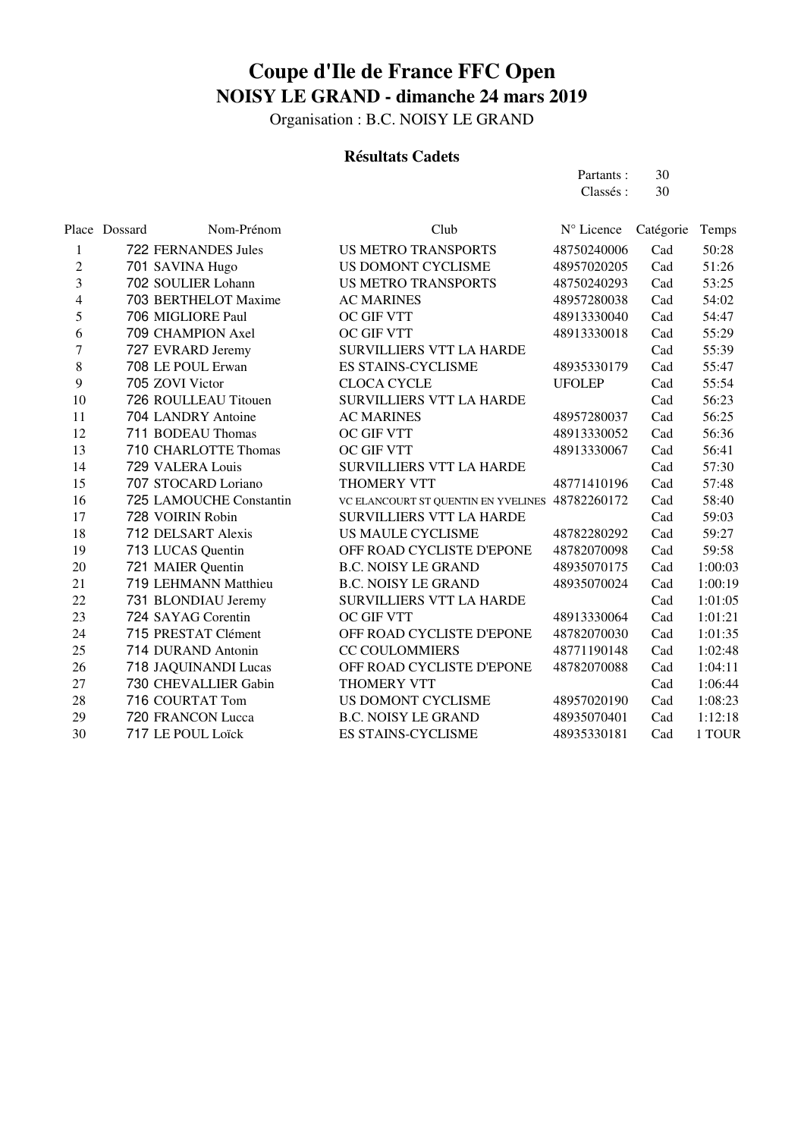Organisation : B.C. NOISY LE GRAND

### **Résultats Cadets**

Partants : 30<br>Classés : 30 Classés :

|    | Place Dossard | Nom-Prénom              | Club                                | $N^{\circ}$ Licence | Catégorie | Temps   |
|----|---------------|-------------------------|-------------------------------------|---------------------|-----------|---------|
| 1  |               | 722 FERNANDES Jules     | <b>US METRO TRANSPORTS</b>          | 48750240006         | Cad       | 50:28   |
| 2  |               | 701 SAVINA Hugo         | US DOMONT CYCLISME                  | 48957020205         | Cad       | 51:26   |
| 3  |               | 702 SOULIER Lohann      | <b>US METRO TRANSPORTS</b>          | 48750240293         | Cad       | 53:25   |
| 4  |               | 703 BERTHELOT Maxime    | <b>AC MARINES</b>                   | 48957280038         | Cad       | 54:02   |
| 5  |               | 706 MIGLIORE Paul       | <b>OC GIF VTT</b>                   | 48913330040         | Cad       | 54:47   |
| 6  |               | 709 CHAMPION Axel       | <b>OC GIF VTT</b>                   | 48913330018         | Cad       | 55:29   |
| 7  |               | 727 EVRARD Jeremy       | <b>SURVILLIERS VTT LA HARDE</b>     |                     | Cad       | 55:39   |
| 8  |               | 708 LE POUL Erwan       | <b>ES STAINS-CYCLISME</b>           | 48935330179         | Cad       | 55:47   |
| 9  |               | 705 ZOVI Victor         | <b>CLOCA CYCLE</b>                  | <b>UFOLEP</b>       | Cad       | 55:54   |
| 10 |               | 726 ROULLEAU Titouen    | <b>SURVILLIERS VTT LA HARDE</b>     |                     | Cad       | 56:23   |
| 11 |               | 704 LANDRY Antoine      | <b>AC MARINES</b>                   | 48957280037         | Cad       | 56:25   |
| 12 |               | 711 BODEAU Thomas       | OC GIF VTT                          | 48913330052         | Cad       | 56:36   |
| 13 |               | 710 CHARLOTTE Thomas    | <b>OC GIF VTT</b>                   | 48913330067         | Cad       | 56:41   |
| 14 |               | 729 VALERA Louis        | <b>SURVILLIERS VTT LA HARDE</b>     |                     | Cad       | 57:30   |
| 15 |               | 707 STOCARD Loriano     | THOMERY VTT                         | 48771410196         | Cad       | 57:48   |
| 16 |               | 725 LAMOUCHE Constantin | VC ELANCOURT ST QUENTIN EN YVELINES | 48782260172         | Cad       | 58:40   |
| 17 |               | 728 VOIRIN Robin        | <b>SURVILLIERS VTT LA HARDE</b>     |                     | Cad       | 59:03   |
| 18 |               | 712 DELSART Alexis      | <b>US MAULE CYCLISME</b>            | 48782280292         | Cad       | 59:27   |
| 19 |               | 713 LUCAS Quentin       | OFF ROAD CYCLISTE D'EPONE           | 48782070098         | Cad       | 59:58   |
| 20 |               | 721 MAIER Quentin       | <b>B.C. NOISY LE GRAND</b>          | 48935070175         | Cad       | 1:00:03 |
| 21 |               | 719 LEHMANN Matthieu    | <b>B.C. NOISY LE GRAND</b>          | 48935070024         | Cad       | 1:00:19 |
| 22 |               | 731 BLONDIAU Jeremy     | <b>SURVILLIERS VTT LA HARDE</b>     |                     | Cad       | 1:01:05 |
| 23 |               | 724 SAYAG Corentin      | <b>OC GIF VTT</b>                   | 48913330064         | Cad       | 1:01:21 |
| 24 |               | 715 PRESTAT Clément     | OFF ROAD CYCLISTE D'EPONE           | 48782070030         | Cad       | 1:01:35 |
| 25 |               | 714 DURAND Antonin      | <b>CC COULOMMIERS</b>               | 48771190148         | Cad       | 1:02:48 |
| 26 |               | 718 JAQUINANDI Lucas    | OFF ROAD CYCLISTE D'EPONE           | 48782070088         | Cad       | 1:04:11 |
| 27 |               | 730 CHEVALLIER Gabin    | <b>THOMERY VTT</b>                  |                     | Cad       | 1:06:44 |
| 28 |               | 716 COURTAT Tom         | US DOMONT CYCLISME                  | 48957020190         | Cad       | 1:08:23 |
| 29 |               | 720 FRANCON Lucca       | <b>B.C. NOISY LE GRAND</b>          | 48935070401         | Cad       | 1:12:18 |
| 30 |               | 717 LE POUL Loïck       | <b>ES STAINS-CYCLISME</b>           | 48935330181         | Cad       | 1 TOUR  |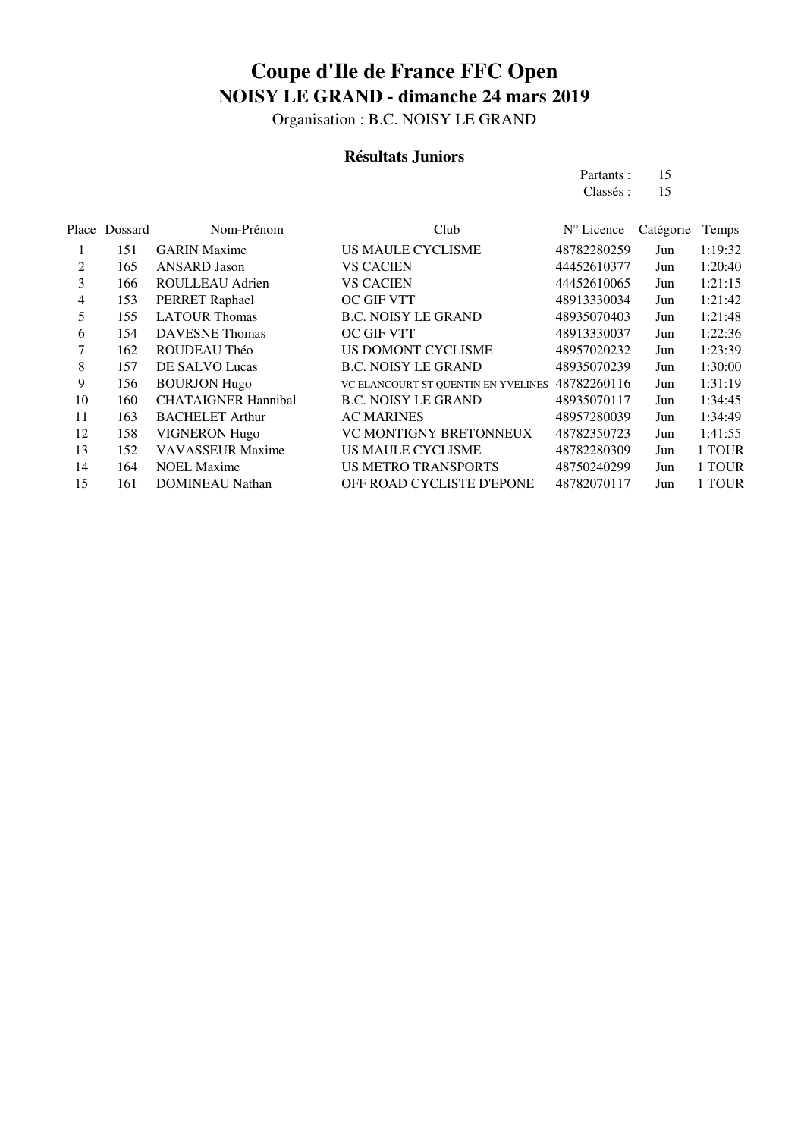Organisation : B.C. NOISY LE GRAND

### **Résultats Juniors**

Partants : 15<br>Classés : 15 Classés :

| Place<br>Dossard | Nom-Prénom                 | Club                                | $N^{\circ}$ Licence | Catégorie | Temps   |
|------------------|----------------------------|-------------------------------------|---------------------|-----------|---------|
| 151              | <b>GARIN</b> Maxime        | <b>US MAULE CYCLISME</b>            | 48782280259         | Jun       | 1:19:32 |
| 165              | <b>ANSARD</b> Jason        | <b>VS CACIEN</b>                    | 44452610377         | Jun       | 1:20:40 |
| 166              | ROULLEAU Adrien            | <b>VS CACIEN</b>                    | 44452610065         | Jun       | 1:21:15 |
| 153              | PERRET Raphael             | <b>OC GIF VTT</b>                   | 48913330034         | Jun       | 1:21:42 |
| 155              | <b>LATOUR Thomas</b>       | <b>B.C. NOISY LE GRAND</b>          | 48935070403         | Jun       | 1:21:48 |
| 154              | <b>DAVESNE</b> Thomas      | <b>OC GIF VTT</b>                   | 48913330037         | Jun       | 1:22:36 |
| 162              | ROUDEAU Théo               | US DOMONT CYCLISME                  | 48957020232         | Jun       | 1:23:39 |
| 157              | DE SALVO Lucas             | <b>B.C. NOISY LE GRAND</b>          | 48935070239         | Jun       | 1:30:00 |
| 156              | <b>BOURJON Hugo</b>        | VC ELANCOURT ST QUENTIN EN YVELINES | 48782260116         | Jun       | 1:31:19 |
| 160              | <b>CHATAIGNER Hannibal</b> | <b>B.C. NOISY LE GRAND</b>          | 48935070117         | Jun       | 1:34:45 |
| 163              | <b>BACHELET Arthur</b>     | <b>AC MARINES</b>                   | 48957280039         | Jun       | 1:34:49 |
| 158              | <b>VIGNERON Hugo</b>       | <b>VC MONTIGNY BRETONNEUX</b>       | 48782350723         | Jun       | 1:41:55 |
| 152              | <b>VAVASSEUR Maxime</b>    | <b>US MAULE CYCLISME</b>            | 48782280309         | Jun       | 1 TOUR  |
| 164              | <b>NOEL Maxime</b>         | <b>US METRO TRANSPORTS</b>          | 48750240299         | Jun       | 1 TOUR  |
| 161              | <b>DOMINEAU Nathan</b>     | OFF ROAD CYCLISTE D'EPONE           | 48782070117         | Jun       | 1 TOUR  |
|                  |                            |                                     |                     |           |         |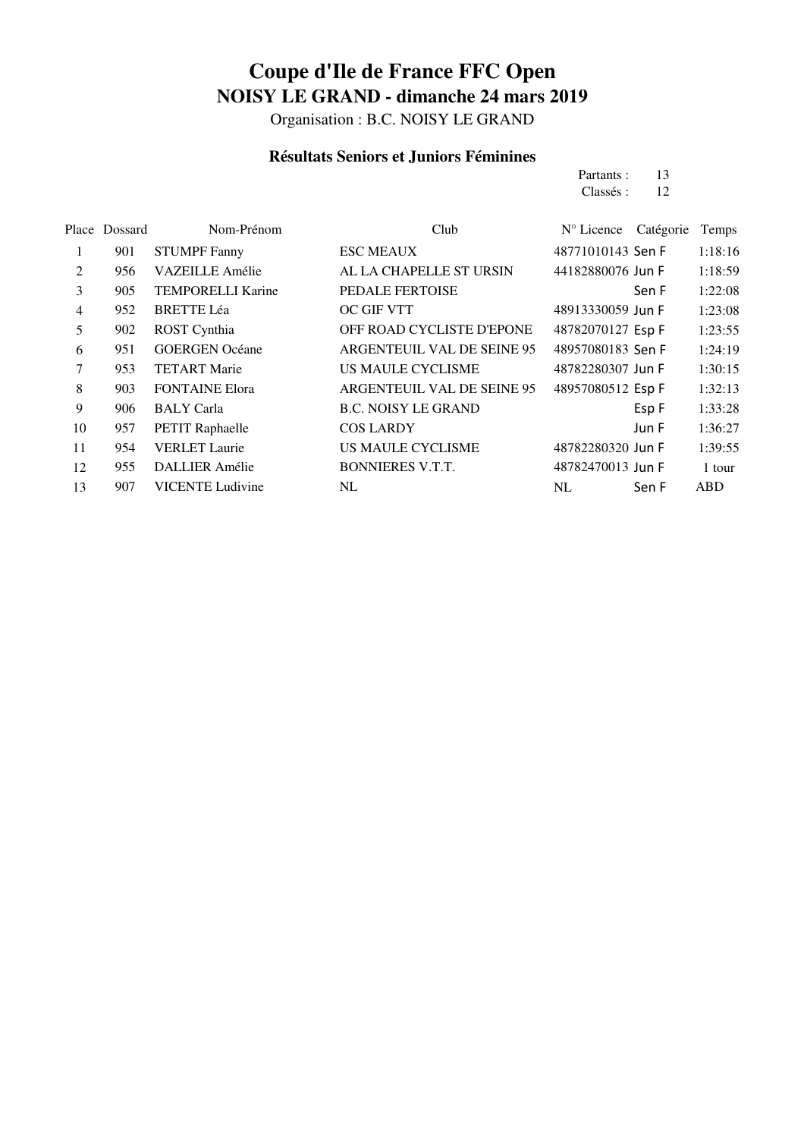Organisation : B.C. NOISY LE GRAND

#### **Résultats Seniors et Juniors Féminines**

Partants : 13<br>Classés : 12 Classés :

|    | Place Dossard | Nom-Prénom               | Club                       | N° Licence        | Catégorie | Temps      |
|----|---------------|--------------------------|----------------------------|-------------------|-----------|------------|
| 1  | 901           | <b>STUMPF Fanny</b>      | <b>ESC MEAUX</b>           | 48771010143 Sen F |           | 1:18:16    |
| 2  | 956           | <b>VAZEILLE Amélie</b>   | AL LA CHAPELLE ST URSIN    | 44182880076 Jun F |           | 1:18:59    |
| 3  | 905           | <b>TEMPORELLI Karine</b> | <b>PEDALE FERTOISE</b>     |                   | Sen F     | 1:22:08    |
| 4  | 952           | <b>BRETTE Léa</b>        | OC GIF VTT                 | 48913330059 Jun F |           | 1:23:08    |
| 5  | 902           | ROST Cynthia             | OFF ROAD CYCLISTE D'EPONE  | 48782070127 Esp F |           | 1:23:55    |
| 6  | 951           | <b>GOERGEN Océane</b>    | ARGENTEUIL VAL DE SEINE 95 | 48957080183 Sen F |           | 1:24:19    |
| 7  | 953           | <b>TETART Marie</b>      | <b>US MAULE CYCLISME</b>   | 48782280307 Jun F |           | 1:30:15    |
| 8  | 903           | <b>FONTAINE Elora</b>    | ARGENTEUIL VAL DE SEINE 95 | 48957080512 Esp F |           | 1:32:13    |
| 9  | 906           | <b>BALY</b> Carla        | <b>B.C. NOISY LE GRAND</b> |                   | Esp F     | 1:33:28    |
| 10 | 957           | <b>PETIT Raphaelle</b>   | <b>COS LARDY</b>           |                   | Jun F     | 1:36:27    |
| 11 | 954           | <b>VERLET</b> Laurie     | US MAULE CYCLISME          | 48782280320 Jun F |           | 1:39:55    |
| 12 | 955           | <b>DALLIER Amélie</b>    | <b>BONNIERES V.T.T.</b>    | 48782470013 Jun F |           | 1 tour     |
| 13 | 907           | <b>VICENTE Ludivine</b>  | NL                         | NL                | Sen F     | <b>ABD</b> |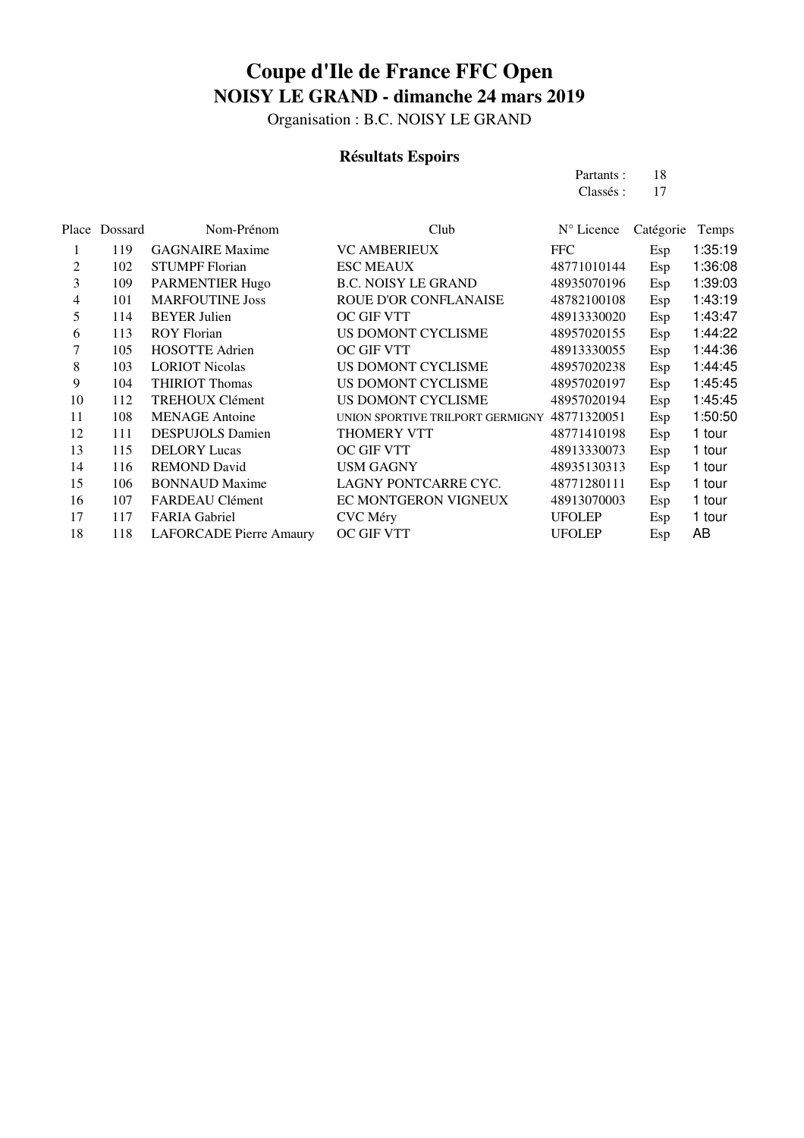Organisation : B.C. NOISY LE GRAND

### **Résultats Espoirs**

Partants : 18<br>Classés : 17 Classés :

|                | Place Dossard | Nom-Prénom                     | Club                             | N° Licence    | Catégorie | Temps   |
|----------------|---------------|--------------------------------|----------------------------------|---------------|-----------|---------|
| 1              | 119           | <b>GAGNAIRE</b> Maxime         | <b>VC AMBERIEUX</b>              | <b>FFC</b>    | Esp       | 1:35:19 |
| 2              | 102           | <b>STUMPF</b> Florian          | <b>ESC MEAUX</b>                 | 48771010144   | Esp       | 1:36:08 |
| 3              | 109           | <b>PARMENTIER Hugo</b>         | <b>B.C. NOISY LE GRAND</b>       | 48935070196   | Esp       | 1:39:03 |
| $\overline{4}$ | 101           | <b>MARFOUTINE Joss</b>         | ROUE D'OR CONFLANAISE            | 48782100108   | Esp       | 1:43:19 |
| 5              | 114           | <b>BEYER Julien</b>            | <b>OC GIF VTT</b>                | 48913330020   | Esp       | 1:43:47 |
| 6              | 113           | <b>ROY Florian</b>             | US DOMONT CYCLISME               | 48957020155   | Esp       | 1:44:22 |
| 7              | 105           | <b>HOSOTTE Adrien</b>          | <b>OC GIF VTT</b>                | 48913330055   | Esp       | 1:44:36 |
| 8              | 103           | <b>LORIOT Nicolas</b>          | US DOMONT CYCLISME               | 48957020238   | Esp       | 1:44:45 |
| 9              | 104           | <b>THIRIOT Thomas</b>          | US DOMONT CYCLISME               | 48957020197   | Esp       | 1:45:45 |
| 10             | 112           | <b>TREHOUX Clément</b>         | US DOMONT CYCLISME               | 48957020194   | Esp       | 1:45:45 |
| 11             | 108           | <b>MENAGE</b> Antoine          | UNION SPORTIVE TRILPORT GERMIGNY | 48771320051   | Esp       | 1:50:50 |
| 12             | 111           | <b>DESPUJOLS Damien</b>        | THOMERY VTT                      | 48771410198   | Esp       | 1 tour  |
| 13             | 115           | <b>DELORY</b> Lucas            | <b>OC GIF VTT</b>                | 48913330073   | Esp       | 1 tour  |
| 14             | 116           | <b>REMOND David</b>            | <b>USM GAGNY</b>                 | 48935130313   | Esp       | 1 tour  |
| 15             | 106           | <b>BONNAUD Maxime</b>          | LAGNY PONTCARRE CYC.             | 48771280111   | Esp       | 1 tour  |
| 16             | 107           | FARDEAU Clément                | EC MONTGERON VIGNEUX             | 48913070003   | Esp       | 1 tour  |
| 17             | 117           | <b>FARIA Gabriel</b>           | CVC Méry                         | <b>UFOLEP</b> | Esp       | 1 tour  |
| 18             | 118           | <b>LAFORCADE Pierre Amaury</b> | OC GIF VTT                       | <b>UFOLEP</b> | Esp       | AB      |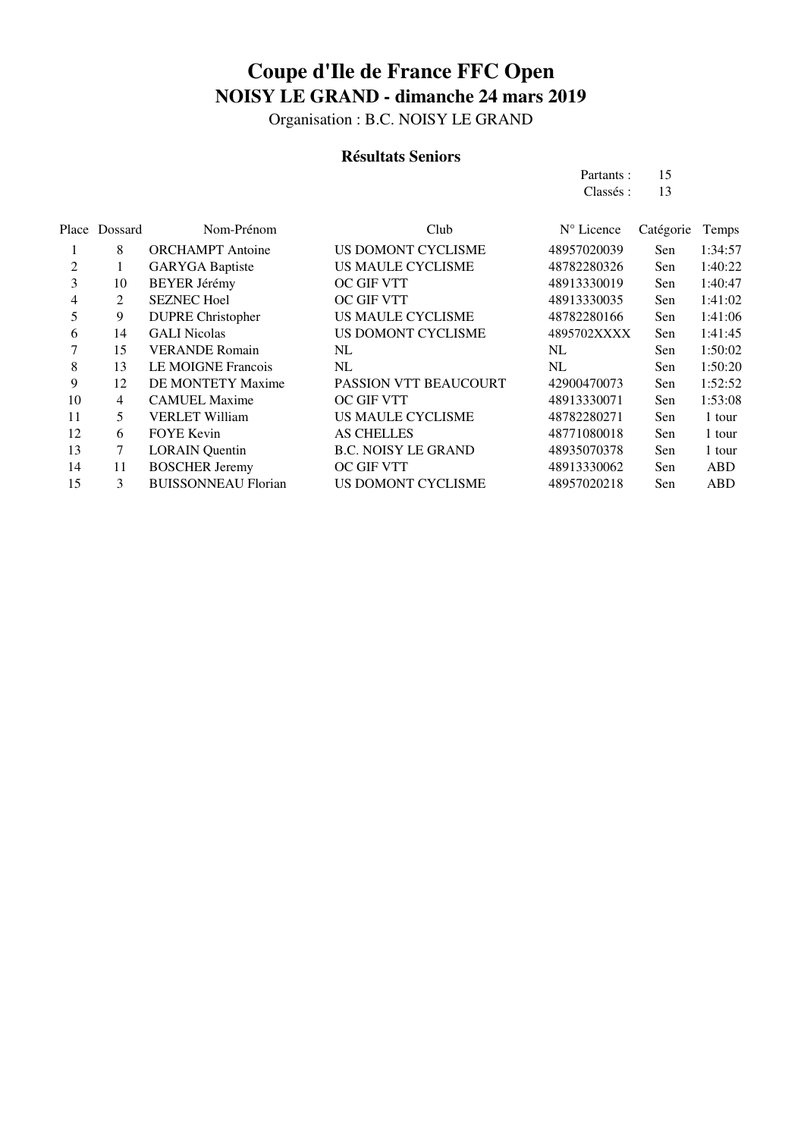Organisation : B.C. NOISY LE GRAND

### **Résultats Seniors**

Partants : 15<br>Classés : 13 Classés :

|    | Place Dossard | Nom-Prénom                 | Club                       | N° Licence  | Catégorie | Temps      |
|----|---------------|----------------------------|----------------------------|-------------|-----------|------------|
|    | 8             | <b>ORCHAMPT</b> Antoine    | US DOMONT CYCLISME         | 48957020039 | Sen       | 1:34:57    |
| 2  |               | <b>GARYGA</b> Baptiste     | US MAULE CYCLISME          | 48782280326 | Sen       | 1:40:22    |
| 3  | 10            | <b>BEYER Jérémy</b>        | <b>OC GIF VTT</b>          | 48913330019 | Sen       | 1:40:47    |
| 4  | 2             | <b>SEZNEC Hoel</b>         | OC GIF VTT                 | 48913330035 | Sen       | 1:41:02    |
| 5  | 9             | <b>DUPRE Christopher</b>   | US MAULE CYCLISME          | 48782280166 | Sen       | 1:41:06    |
| 6  | 14            | <b>GALI</b> Nicolas        | US DOMONT CYCLISME         | 4895702XXXX | Sen       | 1:41:45    |
|    | 15            | <b>VERANDE Romain</b>      | NL                         | NL          | Sen       | 1:50:02    |
| 8  | 13            | <b>LE MOIGNE Francois</b>  | NL                         | NL          | Sen       | 1:50:20    |
| 9  | 12            | DE MONTETY Maxime          | PASSION VTT BEAUCOURT      | 42900470073 | Sen       | 1:52:52    |
| 10 | 4             | <b>CAMUEL Maxime</b>       | <b>OC GIF VTT</b>          | 48913330071 | Sen       | 1:53:08    |
| 11 | 5             | <b>VERLET William</b>      | US MAULE CYCLISME          | 48782280271 | Sen       | 1 tour     |
| 12 | 6             | <b>FOYE</b> Kevin          | <b>AS CHELLES</b>          | 48771080018 | Sen       | 1 tour     |
| 13 | 7             | <b>LORAIN</b> Quentin      | <b>B.C. NOISY LE GRAND</b> | 48935070378 | Sen       | 1 tour     |
| 14 | 11            | <b>BOSCHER Jeremy</b>      | <b>OC GIF VTT</b>          | 48913330062 | Sen       | ABD        |
| 15 | 3             | <b>BUISSONNEAU Florian</b> | US DOMONT CYCLISME         | 48957020218 | Sen       | <b>ABD</b> |
|    |               |                            |                            |             |           |            |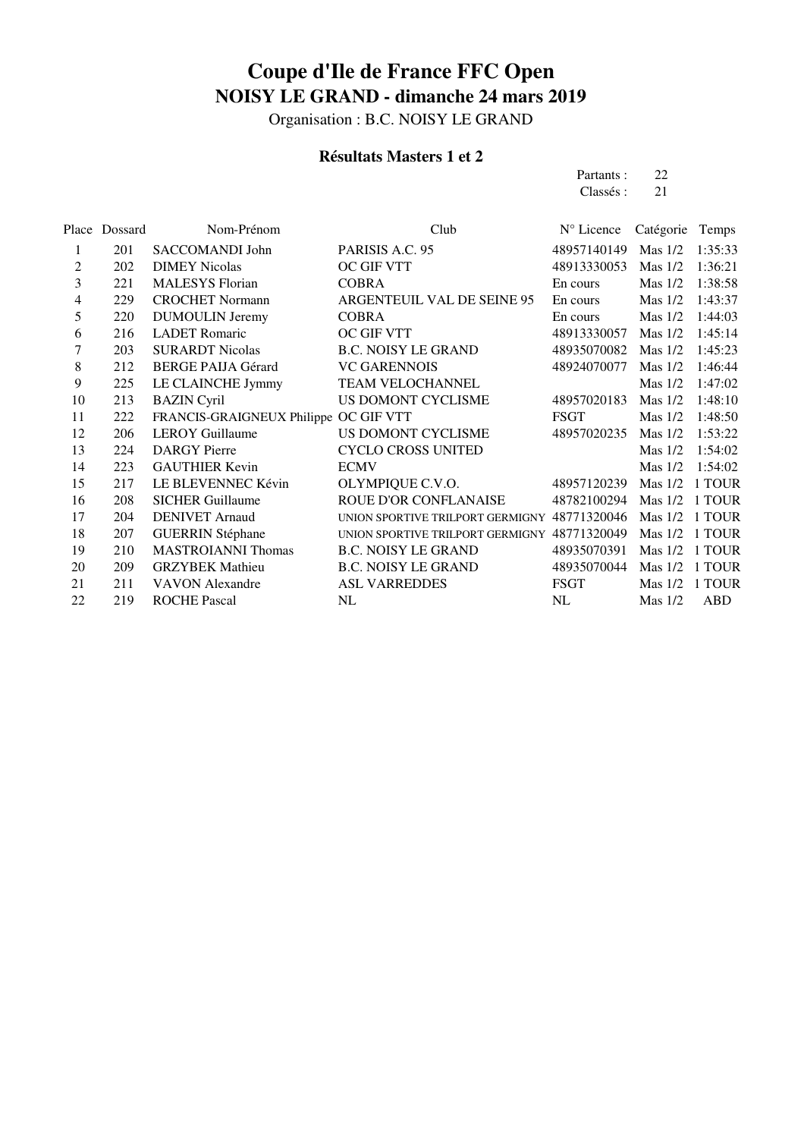Organisation : B.C. NOISY LE GRAND

### **Résultats Masters 1 et 2**

Partants : 22<br>Classés : 21 Classés :

| Place | Dossard | Nom-Prénom                            | Club                             | N° Licence  | Catégorie | Temps      |
|-------|---------|---------------------------------------|----------------------------------|-------------|-----------|------------|
| 1     | 201     | SACCOMANDI John                       | PARISIS A.C. 95                  | 48957140149 | Mas $1/2$ | 1:35:33    |
| 2     | 202     | <b>DIMEY Nicolas</b>                  | OC GIF VTT                       | 48913330053 | Mas $1/2$ | 1:36:21    |
| 3     | 221     | <b>MALESYS</b> Florian                | <b>COBRA</b>                     | En cours    | Mas $1/2$ | 1:38:58    |
| 4     | 229     | <b>CROCHET Normann</b>                | ARGENTEUIL VAL DE SEINE 95       | En cours    | Mas $1/2$ | 1:43:37    |
| 5     | 220     | <b>DUMOULIN Jeremy</b>                | <b>COBRA</b>                     | En cours    | Mas $1/2$ | 1:44:03    |
| 6     | 216     | <b>LADET</b> Romaric                  | OC GIF VTT                       | 48913330057 | Mas $1/2$ | 1:45:14    |
| 7     | 203     | <b>SURARDT Nicolas</b>                | <b>B.C. NOISY LE GRAND</b>       | 48935070082 | Mas $1/2$ | 1:45:23    |
| 8     | 212     | <b>BERGE PAIJA Gérard</b>             | <b>VC GARENNOIS</b>              | 48924070077 | Mas $1/2$ | 1:46:44    |
| 9     | 225     | LE CLAINCHE Jymmy                     | <b>TEAM VELOCHANNEL</b>          |             | Mas $1/2$ | 1:47:02    |
| 10    | 213     | <b>BAZIN</b> Cyril                    | US DOMONT CYCLISME               | 48957020183 | Mas $1/2$ | 1:48:10    |
| 11    | 222     | FRANCIS-GRAIGNEUX Philippe OC GIF VTT |                                  | <b>FSGT</b> | Mas $1/2$ | 1:48:50    |
| 12    | 206     | <b>LEROY</b> Guillaume                | US DOMONT CYCLISME               | 48957020235 | Mas $1/2$ | 1:53:22    |
| 13    | 224     | <b>DARGY</b> Pierre                   | <b>CYCLO CROSS UNITED</b>        |             | Mas $1/2$ | 1:54:02    |
| 14    | 223     | <b>GAUTHIER Kevin</b>                 | <b>ECMV</b>                      |             | Mas $1/2$ | 1:54:02    |
| 15    | 217     | LE BLEVENNEC Kévin                    | OLYMPIQUE C.V.O.                 | 48957120239 | Mas $1/2$ | 1 TOUR     |
| 16    | 208     | <b>SICHER Guillaume</b>               | ROUE D'OR CONFLANAISE            | 48782100294 | Mas $1/2$ | 1 TOUR     |
| 17    | 204     | <b>DENIVET Arnaud</b>                 | UNION SPORTIVE TRILPORT GERMIGNY | 48771320046 | Mas $1/2$ | 1 TOUR     |
| 18    | 207     | <b>GUERRIN Stéphane</b>               | UNION SPORTIVE TRILPORT GERMIGNY | 48771320049 | Mas $1/2$ | 1 TOUR     |
| 19    | 210     | <b>MASTROIANNI Thomas</b>             | <b>B.C. NOISY LE GRAND</b>       | 48935070391 | Mas $1/2$ | 1 TOUR     |
| 20    | 209     | <b>GRZYBEK</b> Mathieu                | <b>B.C. NOISY LE GRAND</b>       | 48935070044 | $Mas$ 1/2 | 1 TOUR     |
| 21    | 211     | <b>VAVON</b> Alexandre                | <b>ASL VARREDDES</b>             | <b>FSGT</b> | Mas $1/2$ | 1 TOUR     |
| 22    | 219     | <b>ROCHE Pascal</b>                   | NL                               | NL          | Mas $1/2$ | <b>ABD</b> |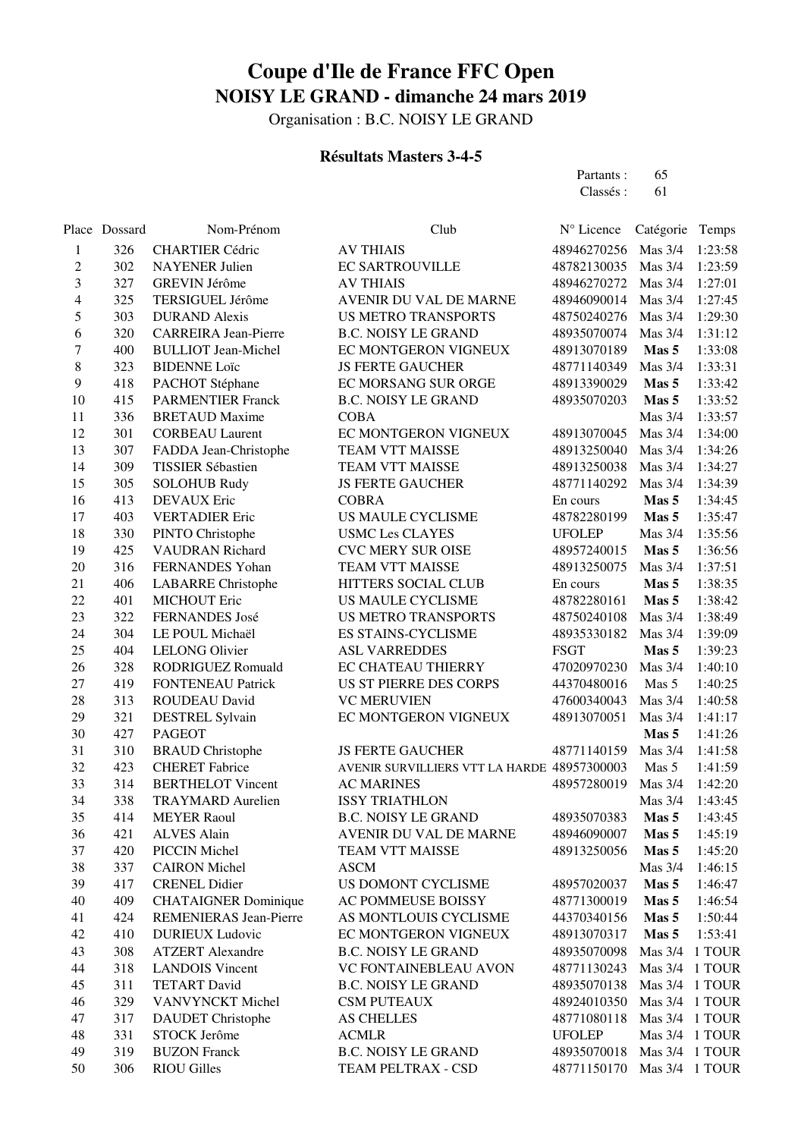Organisation : B.C. NOISY LE GRAND

### **Résultats Masters 3-4-5**

Partants : 65<br>Classés : 61 Classés :

|    | Place Dossard | Nom-Prénom                  | Club                                        | N° Licence    | Catégorie      | Temps   |
|----|---------------|-----------------------------|---------------------------------------------|---------------|----------------|---------|
| 1  | 326           | <b>CHARTIER Cédric</b>      | <b>AV THIAIS</b>                            | 48946270256   | Mas 3/4        | 1:23:58 |
| 2  | 302           | <b>NAYENER Julien</b>       | <b>EC SARTROUVILLE</b>                      | 48782130035   | Mas 3/4        | 1:23:59 |
| 3  | 327           | GREVIN Jérôme               | <b>AV THIAIS</b>                            | 48946270272   | Mas 3/4        | 1:27:01 |
| 4  | 325           | TERSIGUEL Jérôme            | AVENIR DU VAL DE MARNE                      | 48946090014   | Mas 3/4        | 1:27:45 |
| 5  | 303           | <b>DURAND</b> Alexis        | <b>US METRO TRANSPORTS</b>                  | 48750240276   | Mas 3/4        | 1:29:30 |
| 6  | 320           | <b>CARREIRA</b> Jean-Pierre | <b>B.C. NOISY LE GRAND</b>                  | 48935070074   | Mas $3/4$      | 1:31:12 |
| 7  | 400           | <b>BULLIOT</b> Jean-Michel  | EC MONTGERON VIGNEUX                        | 48913070189   | Mas 5          | 1:33:08 |
| 8  | 323           | <b>BIDENNE Loïc</b>         | <b>JS FERTE GAUCHER</b>                     | 48771140349   | Mas 3/4        | 1:33:31 |
| 9  | 418           | PACHOT Stéphane             | EC MORSANG SUR ORGE                         | 48913390029   | Mas 5          | 1:33:42 |
| 10 | 415           | <b>PARMENTIER Franck</b>    | <b>B.C. NOISY LE GRAND</b>                  | 48935070203   | Mas 5          | 1:33:52 |
| 11 | 336           | <b>BRETAUD Maxime</b>       | <b>COBA</b>                                 |               | Mas $3/4$      | 1:33:57 |
| 12 | 301           | <b>CORBEAU Laurent</b>      | EC MONTGERON VIGNEUX                        | 48913070045   | Mas 3/4        | 1:34:00 |
| 13 | 307           | FADDA Jean-Christophe       | TEAM VTT MAISSE                             | 48913250040   | Mas 3/4        | 1:34:26 |
| 14 | 309           | TISSIER Sébastien           | TEAM VTT MAISSE                             | 48913250038   | Mas 3/4        | 1:34:27 |
| 15 | 305           | <b>SOLOHUB Rudy</b>         | <b>JS FERTE GAUCHER</b>                     | 48771140292   | Mas 3/4        | 1:34:39 |
| 16 | 413           | <b>DEVAUX</b> Eric          | <b>COBRA</b>                                | En cours      | Mas 5          | 1:34:45 |
| 17 | 403           | <b>VERTADIER Eric</b>       | US MAULE CYCLISME                           | 48782280199   | Mas 5          | 1:35:47 |
| 18 | 330           | PINTO Christophe            | <b>USMC Les CLAYES</b>                      | <b>UFOLEP</b> | Mas 3/4        | 1:35:56 |
| 19 | 425           | <b>VAUDRAN Richard</b>      | <b>CVC MERY SUR OISE</b>                    | 48957240015   | Mas 5          | 1:36:56 |
| 20 | 316           | FERNANDES Yohan             | <b>TEAM VTT MAISSE</b>                      | 48913250075   | Mas 3/4        | 1:37:51 |
| 21 | 406           | <b>LABARRE</b> Christophe   | HITTERS SOCIAL CLUB                         | En cours      | Mas 5          | 1:38:35 |
| 22 | 401           | <b>MICHOUT Eric</b>         | US MAULE CYCLISME                           | 48782280161   | Mas 5          | 1:38:42 |
| 23 | 322           | FERNANDES José              | <b>US METRO TRANSPORTS</b>                  | 48750240108   | Mas $3/4$      | 1:38:49 |
| 24 | 304           | LE POUL Michaël             | ES STAINS-CYCLISME                          | 48935330182   | Mas 3/4        | 1:39:09 |
| 25 | 404           | <b>LELONG Olivier</b>       | <b>ASL VARREDDES</b>                        | <b>FSGT</b>   | Mas 5          | 1:39:23 |
| 26 | 328           | RODRIGUEZ Romuald           | EC CHATEAU THIERRY                          | 47020970230   | Mas 3/4        | 1:40:10 |
| 27 | 419           | <b>FONTENEAU Patrick</b>    | US ST PIERRE DES CORPS                      | 44370480016   | Mas 5          | 1:40:25 |
| 28 | 313           | ROUDEAU David               | <b>VC MERUVIEN</b>                          | 47600340043   | Mas $3/4$      | 1:40:58 |
| 29 | 321           | <b>DESTREL Sylvain</b>      | EC MONTGERON VIGNEUX                        | 48913070051   | Mas 3/4        | 1:41:17 |
| 30 | 427           | <b>PAGEOT</b>               |                                             |               | Mas 5          | 1:41:26 |
| 31 | 310           | <b>BRAUD</b> Christophe     | <b>JS FERTE GAUCHER</b>                     | 48771140159   | Mas 3/4        | 1:41:58 |
| 32 | 423           | <b>CHERET</b> Fabrice       | AVENIR SURVILLIERS VTT LA HARDE 48957300003 |               | Mas 5          | 1:41:59 |
| 33 | 314           | <b>BERTHELOT Vincent</b>    | <b>AC MARINES</b>                           | 48957280019   | Mas 3/4        | 1:42:20 |
| 34 | 338           | <b>TRAYMARD Aurelien</b>    | <b>ISSY TRIATHLON</b>                       |               | Mas 3/4        | 1:43:45 |
| 35 | 414           | <b>MEYER Raoul</b>          | <b>B.C. NOISY LE GRAND</b>                  | 48935070383   | Mas 5          | 1:43:45 |
| 36 | 421           | <b>ALVES Alain</b>          | AVENIR DU VAL DE MARNE                      | 48946090007   | Mas 5          | 1:45:19 |
| 37 | 420           | PICCIN Michel               | TEAM VTT MAISSE                             | 48913250056   | Mas 5          | 1:45:20 |
| 38 | 337           | <b>CAIRON</b> Michel        | <b>ASCM</b>                                 |               | Mas 3/4        | 1:46:15 |
| 39 | 417           | <b>CRENEL Didier</b>        | US DOMONT CYCLISME                          | 48957020037   | Mas 5          | 1:46:47 |
| 40 | 409           | <b>CHATAIGNER Dominique</b> | AC POMMEUSE BOISSY                          | 48771300019   | Mas 5          | 1:46:54 |
| 41 | 424           | REMENIERAS Jean-Pierre      | AS MONTLOUIS CYCLISME                       | 44370340156   | Mas 5          | 1:50:44 |
| 42 | 410           | <b>DURIEUX Ludovic</b>      | EC MONTGERON VIGNEUX                        | 48913070317   | Mas 5          | 1:53:41 |
| 43 | 308           | <b>ATZERT Alexandre</b>     | <b>B.C. NOISY LE GRAND</b>                  | 48935070098   | Mas $3/4$      | 1 TOUR  |
| 44 | 318           | <b>LANDOIS Vincent</b>      | VC FONTAINEBLEAU AVON                       | 48771130243   | Mas 3/4 1 TOUR |         |
| 45 | 311           | <b>TETART David</b>         | <b>B.C. NOISY LE GRAND</b>                  | 48935070138   | Mas 3/4 1 TOUR |         |
| 46 | 329           | VANVYNCKT Michel            | <b>CSM PUTEAUX</b>                          | 48924010350   | Mas 3/4 1 TOUR |         |
| 47 | 317           | <b>DAUDET</b> Christophe    | <b>AS CHELLES</b>                           | 48771080118   | Mas 3/4 1 TOUR |         |
| 48 | 331           | STOCK Jerôme                | <b>ACMLR</b>                                | <b>UFOLEP</b> | Mas 3/4 1 TOUR |         |
| 49 | 319           | <b>BUZON Franck</b>         | <b>B.C. NOISY LE GRAND</b>                  | 48935070018   | Mas 3/4 1 TOUR |         |
| 50 | 306           | <b>RIOU Gilles</b>          | TEAM PELTRAX - CSD                          | 48771150170   | Mas 3/4 1 TOUR |         |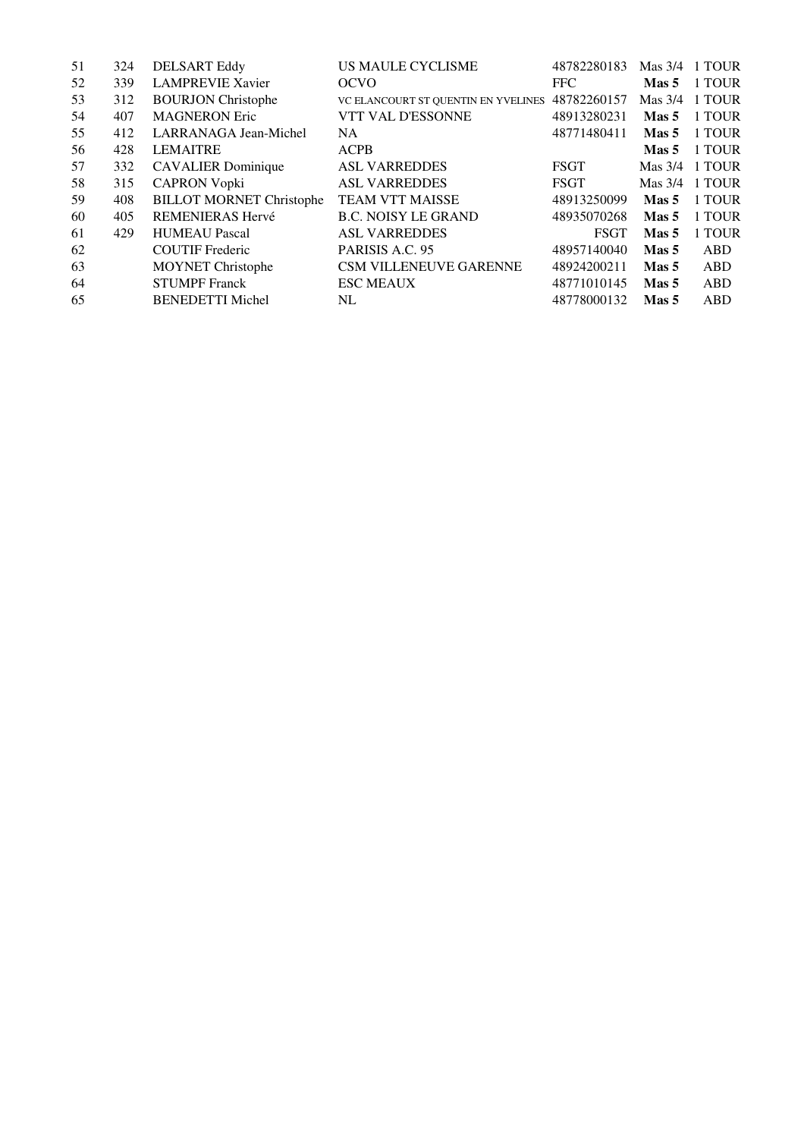| 51 | 324 | <b>DELSART Eddy</b>             | <b>US MAULE CYCLISME</b>            | 48782280183 |                  | Mas 3/4 1 TOUR |
|----|-----|---------------------------------|-------------------------------------|-------------|------------------|----------------|
| 52 | 339 | <b>LAMPREVIE Xavier</b>         | <b>OCVO</b>                         | <b>FFC</b>  | Mas 5            | 1 TOUR         |
| 53 | 312 | <b>BOURJON Christophe</b>       | VC ELANCOURT ST QUENTIN EN YVELINES | 48782260157 | Mas 3/4          | 1 TOUR         |
| 54 | 407 | <b>MAGNERON Eric</b>            | VTT VAL D'ESSONNE                   | 48913280231 | Mas 5            | 1 TOUR         |
| 55 | 412 | LARRANAGA Jean-Michel           | <b>NA</b>                           | 48771480411 | Mas 5            | 1 TOUR         |
| 56 | 428 | <b>LEMAITRE</b>                 | <b>ACPB</b>                         |             | Mas 5            | 1 TOUR         |
| 57 | 332 | <b>CAVALIER</b> Dominique       | <b>ASL VARREDDES</b>                | <b>FSGT</b> |                  | Mas 3/4 1 TOUR |
| 58 | 315 | <b>CAPRON Vopki</b>             | <b>ASL VARREDDES</b>                | FSGT        |                  | Mas 3/4 1 TOUR |
| 59 | 408 | <b>BILLOT MORNET Christophe</b> | <b>TEAM VTT MAISSE</b>              | 48913250099 | Mas 5            | 1 TOUR         |
| 60 | 405 | REMENIERAS Hervé                | <b>B.C. NOISY LE GRAND</b>          | 48935070268 | Mas 5            | 1 TOUR         |
| 61 | 429 | <b>HUMEAU Pascal</b>            | <b>ASL VARREDDES</b>                | <b>FSGT</b> | Mas <sub>5</sub> | 1 TOUR         |
| 62 |     | <b>COUTIF</b> Frederic          | PARISIS A.C. 95                     | 48957140040 | Mas <sub>5</sub> | ABD            |
| 63 |     | <b>MOYNET Christophe</b>        | CSM VILLENEUVE GARENNE              | 48924200211 | Mas <sub>5</sub> | ABD            |
| 64 |     | <b>STUMPF</b> Franck            | <b>ESC MEAUX</b>                    | 48771010145 | Mas 5            | ABD            |
| 65 |     | <b>BENEDETTI Michel</b>         | NL                                  | 48778000132 | Mas 5            | ABD            |
|    |     |                                 |                                     |             |                  |                |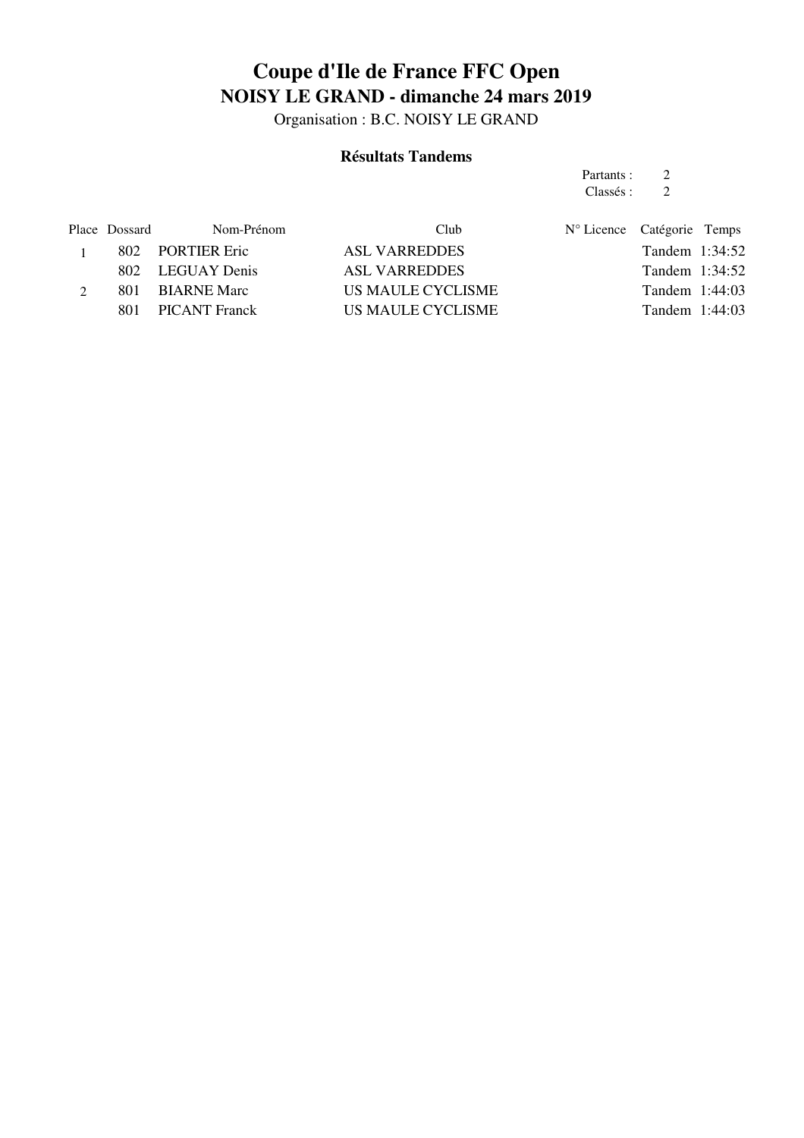Organisation : B.C. NOISY LE GRAND

### **Résultats Tandems**

Partants : 2<br>Classés : 2 Classés : 2

| Place Dossard | Nom-Prénom        | Club                 | $N^{\circ}$ Licence Catégorie Temps |                  |  |
|---------------|-------------------|----------------------|-------------------------------------|------------------|--|
|               | 802 PORTIER Eric  | <b>ASL VARREDDES</b> |                                     | Tandem 1:34:52   |  |
|               | 802 LEGUAY Denis  | <b>ASL VARREDDES</b> |                                     | Tandem 1:34:52   |  |
|               | 801 BIARNE Marc   | US MAULE CYCLISME    |                                     | Tandem $1:44:03$ |  |
|               | 801 PICANT Franck | US MAULE CYCLISME    |                                     | Tandem $1:44:03$ |  |
|               |                   |                      |                                     |                  |  |